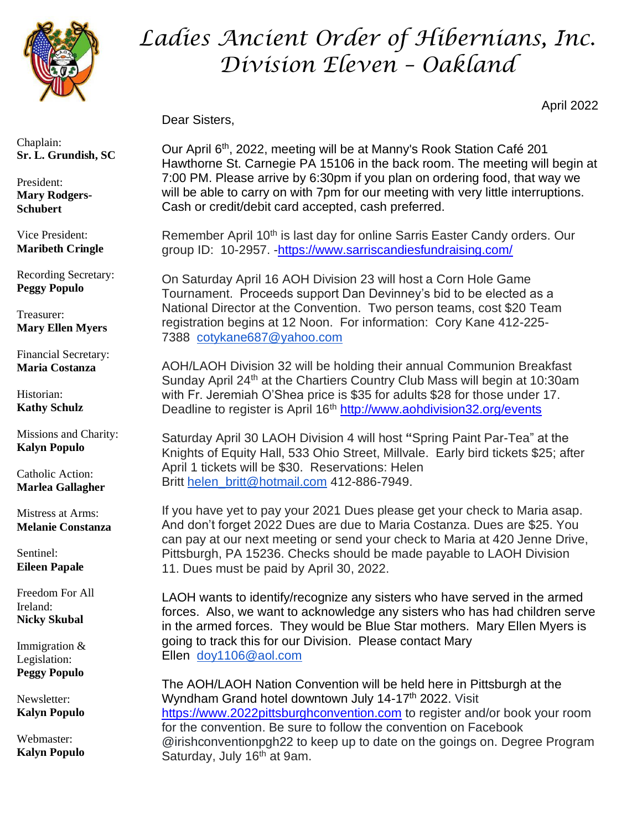

## *Ladies Ancient Order of Hibernians, Inc. Division Eleven – Oakland*

April 2022

Dear Sisters,

Our April 6th, 2022, meeting will be at Manny's Rook Station Café 201 Hawthorne St. Carnegie PA 15106 in the back room. The meeting will begin at 7:00 PM. Please arrive by 6:30pm if you plan on ordering food, that way we will be able to carry on with 7pm for our meeting with very little interruptions. Cash or credit/debit card accepted, cash preferred.

Remember April 10<sup>th</sup> is last day for online Sarris Easter Candy orders. Our group ID: 10-2957. [-https://www.sarriscandiesfundraising.com/](https://www.sarriscandiesfundraising.com/)

On Saturday April 16 AOH Division 23 will host a Corn Hole Game Tournament. Proceeds support Dan Devinney's bid to be elected as a National Director at the Convention. Two person teams, cost \$20 Team registration begins at 12 Noon. For information: Cory Kane 412-225- 7388 [cotykane687@yahoo.com](mailto:cotykane687@yahoo.com)

AOH/LAOH Division 32 will be holding their annual Communion Breakfast Sunday April 24<sup>th</sup> at the Chartiers Country Club Mass will begin at 10:30am with Fr. Jeremiah O'Shea price is \$35 for adults \$28 for those under 17. Deadline to register is April 16<sup>th</sup> <http://www.aohdivision32.org/events>

Saturday April 30 LAOH Division 4 will host **"**Spring Paint Par-Tea" at the Knights of Equity Hall, 533 Ohio Street, Millvale. Early bird tickets \$25; after April 1 tickets will be \$30. Reservations: Helen Britt [helen\\_britt@hotmail.com](mailto:helen_britt@hotmail.com) 412-886-7949.

If you have yet to pay your 2021 Dues please get your check to Maria asap. And don't forget 2022 Dues are due to Maria Costanza. Dues are \$25. You can pay at our next meeting or send your check to Maria at 420 Jenne Drive, Pittsburgh, PA 15236. Checks should be made payable to LAOH Division 11. Dues must be paid by April 30, 2022.

LAOH wants to identify/recognize any sisters who have served in the armed forces. Also, we want to acknowledge any sisters who has had children serve in the armed forces. They would be Blue Star mothers. Mary Ellen Myers is going to track this for our Division. Please contact Mary Ellen [doy1106@aol.com](mailto:doy1106@aol.com)

The AOH/LAOH Nation Convention will be held here in Pittsburgh at the Wyndham Grand hotel downtown July 14-17<sup>th</sup> 2022. Visit [https://www.2022pittsburghconvention.com](https://www.2022pittsburghconvention.com/) to register and/or book your room for the convention. Be sure to follow the convention on Facebook @irishconventionpgh22 to keep up to date on the goings on. Degree Program Saturday, July 16<sup>th</sup> at 9am.

Chaplain: **Sr. L. Grundish, SC**

President: **Mary Rodgers-Schubert**

Vice President: **Maribeth Cringle**

Recording Secretary: **Peggy Populo**

Treasurer: **Mary Ellen Myers**

Financial Secretary: **Maria Costanza**

Historian: **Kathy Schulz**

Missions and Charity: **Kalyn Populo**

Catholic Action: **Marlea Gallagher**

Mistress at Arms: **Melanie Constanza**

Sentinel: **Eileen Papale**

Freedom For All Ireland: **Nicky Skubal**

Immigration & Legislation: **Peggy Populo**

Newsletter: **Kalyn Populo**

Webmaster: **Kalyn Populo**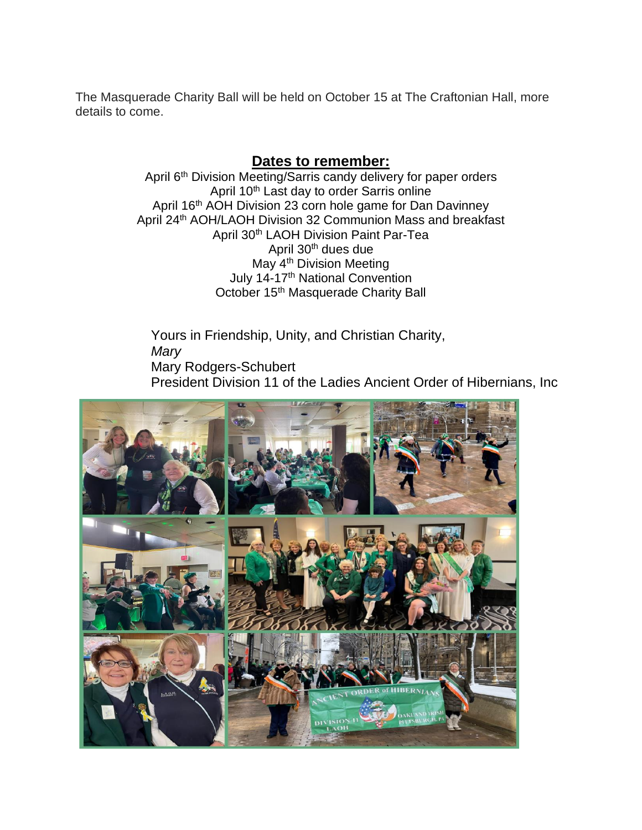The Masquerade Charity Ball will be held on October 15 at The Craftonian Hall, more details to come.

## **Dates to remember:**

April 6<sup>th</sup> Division Meeting/Sarris candy delivery for paper orders April 10<sup>th</sup> Last day to order Sarris online April 16<sup>th</sup> AOH Division 23 corn hole game for Dan Davinney April 24<sup>th</sup> AOH/LAOH Division 32 Communion Mass and breakfast April 30<sup>th</sup> LAOH Division Paint Par-Tea April 30<sup>th</sup> dues due May 4<sup>th</sup> Division Meeting July 14-17<sup>th</sup> National Convention October 15<sup>th</sup> Masquerade Charity Ball

Yours in Friendship, Unity, and Christian Charity, *Mary* Mary Rodgers-Schubert President Division 11 of the Ladies Ancient Order of Hibernians, Inc